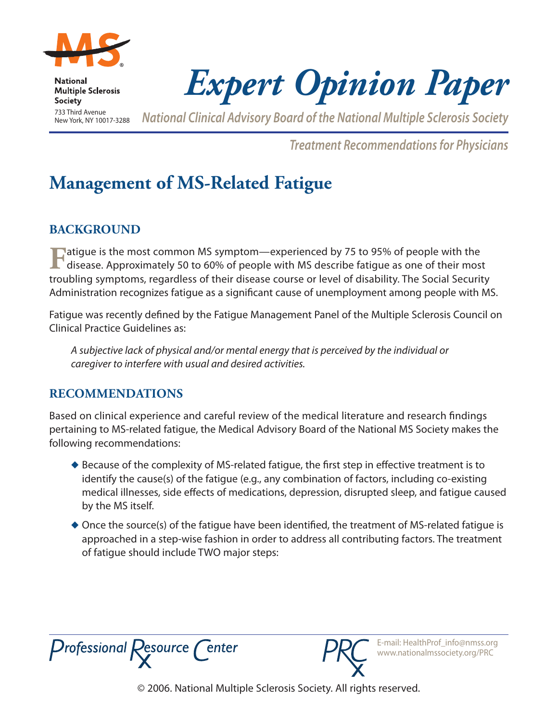

**National Multiple Sclerosis Society** 733 Third Avenue New York, NY 10017-3288

*Expert Opinion Paper*

*National Clinical Advisory Board of the National Multiple Sclerosis Society* 

*Treatment Recommendations for Physicians*

# **Management of MS-Related Fatigue**

## **Background**

**Fatigue is the most common MS symptom—experienced by 75 to 95% of people with the disease. Approximately 50 to 60% of people with MS describe fatigue as one of their most** troubling symptoms, regardless of their disease course or level of disability. The Social Security Administration recognizes fatigue as a significant cause of unemployment among people with MS.

Fatigue was recently defined by the Fatigue Management Panel of the Multiple Sclerosis Council on Clinical Practice Guidelines as:

*A subjective lack of physical and/or mental energy that is perceived by the individual or caregiver to interfere with usual and desired activities.*

## **Recommendations**

Based on clinical experience and careful review of the medical literature and research findings pertaining to MS-related fatigue, the Medical Advisory Board of the National MS Society makes the following recommendations:

- $\blacklozenge$  Because of the complexity of MS-related fatigue, the first step in effective treatment is to identify the cause(s) of the fatigue (e.g., any combination of factors, including co-existing medical illnesses, side effects of medications, depression, disrupted sleep, and fatigue caused by the MS itself.
- $\triangle$  Once the source(s) of the fatigue have been identified, the treatment of MS-related fatigue is approached in a step-wise fashion in order to address all contributing factors. The treatment of fatigue should include TWO major steps:





E-mail: HealthProf\_info@nmss.org www.nationalmssociety.org/PRC

© 2006. National Multiple Sclerosis Society. All rights reserved.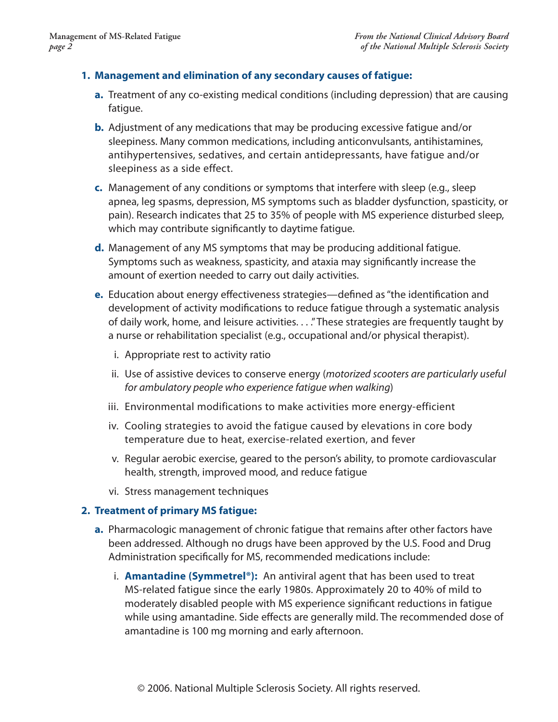#### **1. Management and elimination of any secondary causes of fatigue:**

- **a.** Treatment of any co-existing medical conditions (including depression) that are causing fatigue.
- **b.** Adjustment of any medications that may be producing excessive fatigue and/or sleepiness. Many common medications, including anticonvulsants, antihistamines, antihypertensives, sedatives, and certain antidepressants, have fatigue and/or sleepiness as a side effect.
- **c.** Management of any conditions or symptoms that interfere with sleep (e.g., sleep apnea, leg spasms, depression, MS symptoms such as bladder dysfunction, spasticity, or pain). Research indicates that 25 to 35% of people with MS experience disturbed sleep, which may contribute significantly to daytime fatigue.
- **d.** Management of any MS symptoms that may be producing additional fatigue. Symptoms such as weakness, spasticity, and ataxia may significantly increase the amount of exertion needed to carry out daily activities.
- **e.** Education about energy effectiveness strategies—defined as "the identification and development of activity modifications to reduce fatigue through a systematic analysis of daily work, home, and leisure activities. . . ." These strategies are frequently taught by a nurse or rehabilitation specialist (e.g., occupational and/or physical therapist).
	- i. Appropriate rest to activity ratio
	- ii. Use of assistive devices to conserve energy (*motorized scooters are particularly useful for ambulatory people who experience fatigue when walking*)
	- iii. Environmental modifications to make activities more energy-efficient
	- iv. Cooling strategies to avoid the fatigue caused by elevations in core body temperature due to heat, exercise-related exertion, and fever
	- v. Regular aerobic exercise, geared to the person's ability, to promote cardiovascular health, strength, improved mood, and reduce fatigue
	- vi. Stress management techniques

#### **2. Treatment of primary MS fatigue:**

- **a.** Pharmacologic management of chronic fatigue that remains after other factors have been addressed. Although no drugs have been approved by the U.S. Food and Drug Administration specifically for MS, recommended medications include:
	- i. **Amantadine (Symmetrel®):** An antiviral agent that has been used to treat MS-related fatigue since the early 1980s. Approximately 20 to 40% of mild to moderately disabled people with MS experience significant reductions in fatigue while using amantadine. Side effects are generally mild. The recommended dose of amantadine is 100 mg morning and early afternoon.